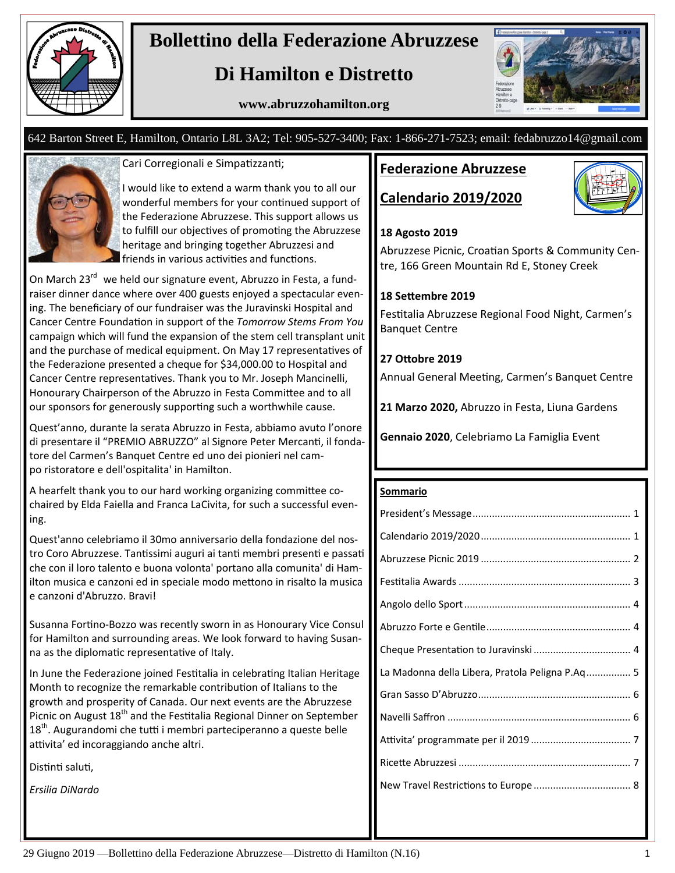

# **Bollettino della Federazione Abruzzese**

# **Di Hamilton e Distretto**

**www.abruzzohamilton.org** 



### 642 Barton Street E, Hamilton, Ontario L8L 3A2; Tel: 905-527-3400; Fax: 1-866-271-7523; email: fedabruzzo14@gmail.com



Cari Corregionali e Simpatizzanti;

I would like to extend a warm thank you to all our wonderful members for your continued support of the Federazione Abruzzese. This support allows us to fulfill our objectives of promoting the Abruzzese heritage and bringing together Abruzzesi and friends in various activities and functions.

On March 23<sup>rd</sup> we held our signature event, Abruzzo in Festa, a fundraiser dinner dance where over 400 guests enjoyed a spectacular even‐ ing. The beneficiary of our fundraiser was the Juravinski Hospital and Cancer Centre FoundaƟon in support of the *Tomorrow Stems From You* campaign which will fund the expansion of the stem cell transplant unit and the purchase of medical equipment. On May 17 representatives of the Federazione presented a cheque for \$34,000.00 to Hospital and Cancer Centre representatives. Thank you to Mr. Joseph Mancinelli, Honourary Chairperson of the Abruzzo in Festa Committee and to all our sponsors for generously supporting such a worthwhile cause.

Quest'anno, durante la serata Abruzzo in Festa, abbiamo avuto l'onore di presentare il "PREMIO ABRUZZO" al Signore Peter Mercanti, il fondatore del Carmen's Banquet Centre ed uno dei pionieri nel cam‐ po ristoratore e dell'ospitalita' in Hamilton.

A hearfelt thank you to our hard working organizing committee cochaired by Elda Faiella and Franca LaCivita, for such a successful even‐ ing.

Quest'anno celebriamo il 30mo anniversario della fondazione del nos‐ tro Coro Abruzzese. Tantissimi auguri ai tanti membri presenti e passati che con il loro talento e buona volonta' portano alla comunita' di Ham‐ ilton musica e canzoni ed in speciale modo mettono in risalto la musica e canzoni d'Abruzzo. Bravi!

Susanna Fortino-Bozzo was recently sworn in as Honourary Vice Consul for Hamilton and surrounding areas. We look forward to having Susan‐ na as the diplomatic representative of Italy.

In June the Federazione joined Festitalia in celebrating Italian Heritage Month to recognize the remarkable contribution of Italians to the growth and prosperity of Canada. Our next events are the Abruzzese Picnic on August 18<sup>th</sup> and the Festitalia Regional Dinner on September  $18<sup>th</sup>$ . Augurandomi che tutti i membri parteciperanno a queste belle attivita' ed incoraggiando anche altri.

Distinti saluti,

*Ersilia DiNardo*

## **Federazione Abruzzese**

# **Calendario 2019/2020**



#### **18 Agosto 2019**

Abruzzese Picnic, Croatian Sports & Community Centre, 166 Green Mountain Rd E, Stoney Creek

#### **18 SeƩembre 2019**

Festitalia Abruzzese Regional Food Night, Carmen's Banquet Centre

#### **27 OƩobre 2019**

Annual General Meeting, Carmen's Banquet Centre

**21 Marzo 2020,** Abruzzo in Festa, Liuna Gardens

**Gennaio 2020**, Celebriamo La Famiglia Event

#### **Sommario**

| La Madonna della Libera, Pratola Peligna P.Aq 5 |
|-------------------------------------------------|
|                                                 |
|                                                 |
|                                                 |
|                                                 |
|                                                 |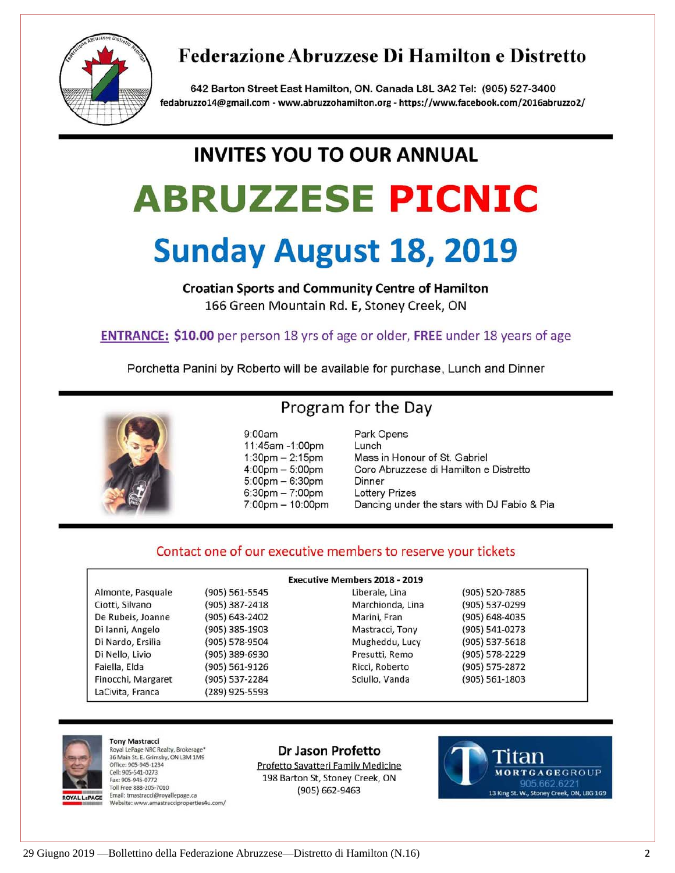

# Federazione Abruzzese Di Hamilton e Distretto

642 Barton Street East Hamilton, ON. Canada L8L 3A2 Tel: (905) 527-3400 fedabruzzo14@gmail.com - www.abruzzohamilton.org - https://www.facebook.com/2016abruzzo2/

# **INVITES YOU TO OUR ANNUAL**

# **ABRUZZESE PICNIC**

# **Sunday August 18, 2019**

**Croatian Sports and Community Centre of Hamilton** 166 Green Mountain Rd. E, Stoney Creek, ON

**ENTRANCE: \$10.00** per person 18 yrs of age or older, FREE under 18 years of age

Porchetta Panini by Roberto will be available for purchase, Lunch and Dinner



# Program for the Day

 $9:00am$ 11:45am -1:00pm  $1:30$ pm  $- 2:15$ pm  $4:00 \text{pm} - 5:00 \text{pm}$  $5:00$ pm  $-6:30$ pm  $6:30pm - 7:00pm$  $7:00 \text{pm} - 10:00 \text{pm}$  Park Opens Lunch Mass in Honour of St. Gabriel Coro Abruzzese di Hamilton e Distretto Dinner **Lottery Prizes** Dancing under the stars with DJ Fabio & Pia

## Contact one of our executive members to reserve your tickets

| <b>Executive Members 2018 - 2019</b> |                |                  |                    |
|--------------------------------------|----------------|------------------|--------------------|
| Almonte, Pasquale                    | (905) 561-5545 | Liberale, Lina   | $(905)$ 520-7885   |
| Ciotti, Silvano                      | (905) 387-2418 | Marchionda, Lina | (905) 537-0299     |
| De Rubeis, Joanne                    | (905) 643-2402 | Marini, Fran     | $(905) 648 - 4035$ |
| Di lanni, Angelo                     | (905) 385-1903 | Mastracci, Tony  | $(905) 541 - 0273$ |
| Di Nardo, Ersilia                    | (905) 578-9504 | Mugheddu, Lucy   | $(905)$ 537-5618   |
| Di Nello, Livio                      | (905) 389-6930 | Presutti, Remo   | $(905)$ 578-2229   |
| Faiella, Elda                        | (905) 561-9126 | Ricci, Roberto   | (905) 575-2872     |
| Finocchi, Margaret                   | (905) 537-2284 | Sciullo, Vanda   | $(905) 561 - 1803$ |
| LaCivita, Franca                     | (289) 925-5593 |                  |                    |



**Tony Mastracci** Royal LePage NRC Realty, Brokerage\* 36 Main St. E. Grimsby, ON L3M 1M9 Office: 905-945-1234 Cell: 905-541-0273 Fax: 905-945-0772 Toll Free 888-205-7010 Email: tmastracci@royallepage.ca Website: www.amastracciproperties4u.com/

#### Dr Jason Profetto

Profetto Savatteri Family Medicine 198 Barton St, Stoney Creek, ON  $(905) 662 - 9463$ 

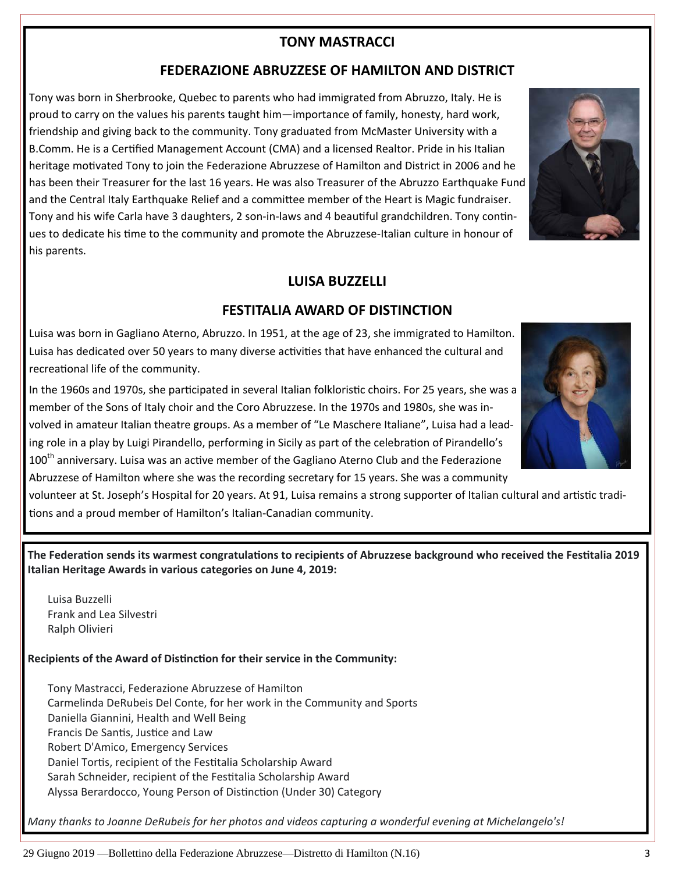## **TONY MASTRACCI**

## **FEDERAZIONE ABRUZZESE OF HAMILTON AND DISTRICT**

Tony was born in Sherbrooke, Quebec to parents who had immigrated from Abruzzo, Italy. He is proud to carry on the values his parents taught him—importance of family, honesty, hard work, friendship and giving back to the community. Tony graduated from McMaster University with a B.Comm. He is a Certified Management Account (CMA) and a licensed Realtor. Pride in his Italian heritage motivated Tony to join the Federazione Abruzzese of Hamilton and District in 2006 and he has been their Treasurer for the last 16 years. He was also Treasurer of the Abruzzo Earthquake Fund and the Central Italy Earthquake Relief and a committee member of the Heart is Magic fundraiser. Tony and his wife Carla have 3 daughters, 2 son-in-laws and 4 beautiful grandchildren. Tony continues to dedicate his time to the community and promote the Abruzzese-Italian culture in honour of his parents.

# **LUISA BUZZELLI**

## **FESTITALIA AWARD OF DISTINCTION**

Luisa was born in Gagliano Aterno, Abruzzo. In 1951, at the age of 23, she immigrated to Hamilton. Luisa has dedicated over 50 years to many diverse activities that have enhanced the cultural and recreational life of the community.

In the 1960s and 1970s, she participated in several Italian folkloristic choirs. For 25 years, she was a member of the Sons of Italy choir and the Coro Abruzzese. In the 1970s and 1980s, she was in‐ volved in amateur Italian theatre groups. As a member of "Le Maschere Italiane", Luisa had a lead‐ ing role in a play by Luigi Pirandello, performing in Sicily as part of the celebration of Pirandello's 100<sup>th</sup> anniversary. Luisa was an active member of the Gagliano Aterno Club and the Federazione Abruzzese of Hamilton where she was the recording secretary for 15 years. She was a community

volunteer at St. Joseph's Hospital for 20 years. At 91, Luisa remains a strong supporter of Italian cultural and artistic traditions and a proud member of Hamilton's Italian-Canadian community.

The Federation sends its warmest congratulations to recipients of Abruzzese background who received the Festitalia 2019 **Italian Heritage Awards in various categories on June 4, 2019:** 

Luisa Buzzelli Frank and Lea Silvestri Ralph Olivieri

**Recipients of the Award of DisƟncƟon for their service in the Community:**

Tony Mastracci, Federazione Abruzzese of Hamilton Carmelinda DeRubeis Del Conte, for her work in the Community and Sports Daniella Giannini, Health and Well Being Francis De Santis, Justice and Law Robert D'Amico, Emergency Services Daniel Tortis, recipient of the Festitalia Scholarship Award Sarah Schneider, recipient of the Festitalia Scholarship Award Alyssa Berardocco, Young Person of Distinction (Under 30) Category

*Many thanks to Joanne DeRubeis for her photos and videos capturing a wonderful evening at Michelangelo's!*





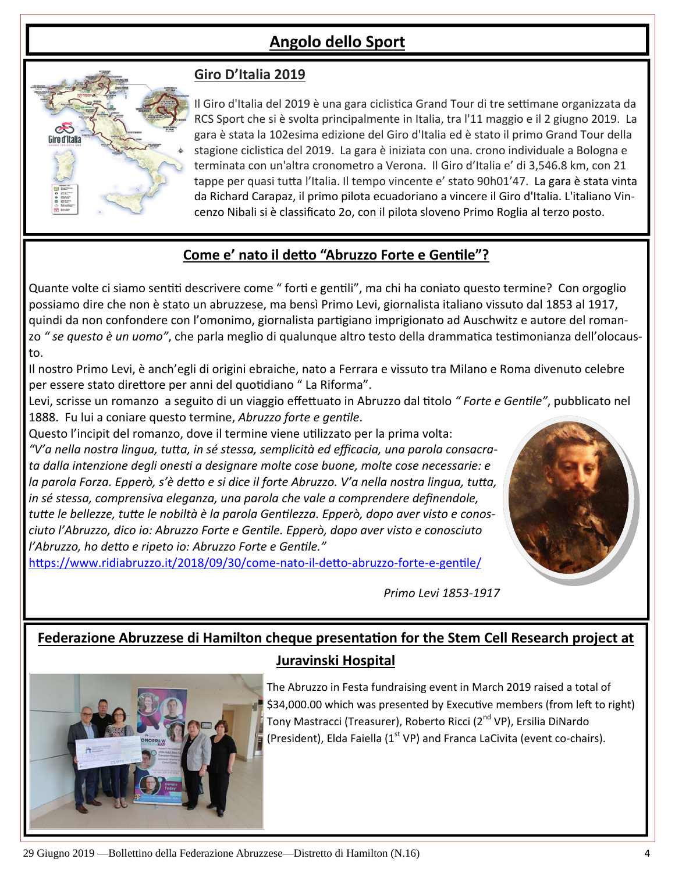# **Angolo dello Sport**



# **Giro D'Italia 2019**

Il Giro d'Italia del 2019 è una gara ciclistica Grand Tour di tre settimane organizzata da RCS Sport che si è svolta principalmente in Italia, tra l'11 maggio e il 2 giugno 2019. La gara è stata la 102esima edizione del Giro d'Italia ed è stato il primo Grand Tour della stagione ciclistica del 2019. La gara è iniziata con una. crono individuale a Bologna e terminata con un'altra cronometro a Verona. Il Giro d'Italia e' di 3,546.8 km, con 21 tappe per quasi tutta l'Italia. Il tempo vincente e' stato 90h01'47. La gara è stata vinta da Richard Carapaz, il primo pilota ecuadoriano a vincere il Giro d'Italia. L'italiano Vin‐ cenzo Nibali si è classificato 2o, con il pilota sloveno Primo Roglia al terzo posto.

# **Come e' nato il deƩo "Abruzzo Forte e GenƟle"?**

Quante volte ci siamo sentiti descrivere come " forti e gentili", ma chi ha coniato questo termine? Con orgoglio possiamo dire che non è stato un abruzzese, ma bensì Primo Levi, giornalista italiano vissuto dal 1853 al 1917, quindi da non confondere con l'omonimo, giornalista partigiano imprigionato ad Auschwitz e autore del romanzo " se questo è un uomo", che parla meglio di qualunque altro testo della drammatica testimonianza dell'olocausto.

Il nostro Primo Levi, è anch'egli di origini ebraiche, nato a Ferrara e vissuto tra Milano e Roma divenuto celebre per essere stato direttore per anni del quotidiano " La Riforma".

Levi, scrisse un romanzo a seguito di un viaggio effettuato in Abruzzo dal titolo "Forte e Gentile", pubblicato nel 1888. Fu lui a coniare questo termine, *Abruzzo forte e genƟle*.

Questo l'incipit del romanzo, dove il termine viene uƟlizzato per la prima volta: *"V'a nella nostra lingua, tuƩa, in sé stessa, semplicità ed efficacia, una parola consacrata dalla intenzione degli onesƟ a designare molte cose buone, molte cose necessarie: e* la parola Forza. Epperò, s'è detto e si dice il forte Abruzzo. V'a nella nostra lingua, tutta, *in sé stessa, comprensiva eleganza, una parola che vale a comprendere definendole,* tutte le bellezze, tutte le nobiltà è la parola Gentilezza. Epperò, dopo aver visto e conos*ciuto l'Abruzzo, dico io: Abruzzo Forte e GenƟle. Epperò, dopo aver visto e conosciuto l'Abruzzo, ho deƩo e ripeto io: Abruzzo Forte e GenƟle."*

https://www.ridiabruzzo.it/2018/09/30/come-nato-il-detto-abruzzo-forte-e-gentile/

*Primo Levi 1853-1917*

# **Federazione Abruzzese di Hamilton cheque presentaƟon for the Stem Cell Research project at Juravinski Hospital**



The Abruzzo in Festa fundraising event in March 2019 raised a total of \$34,000.00 which was presented by Executive members (from left to right) Tony Mastracci (Treasurer), Roberto Ricci (2<sup>nd</sup> VP), Ersilia DiNardo (President), Elda Faiella ( $1<sup>st</sup>$  VP) and Franca LaCivita (event co-chairs).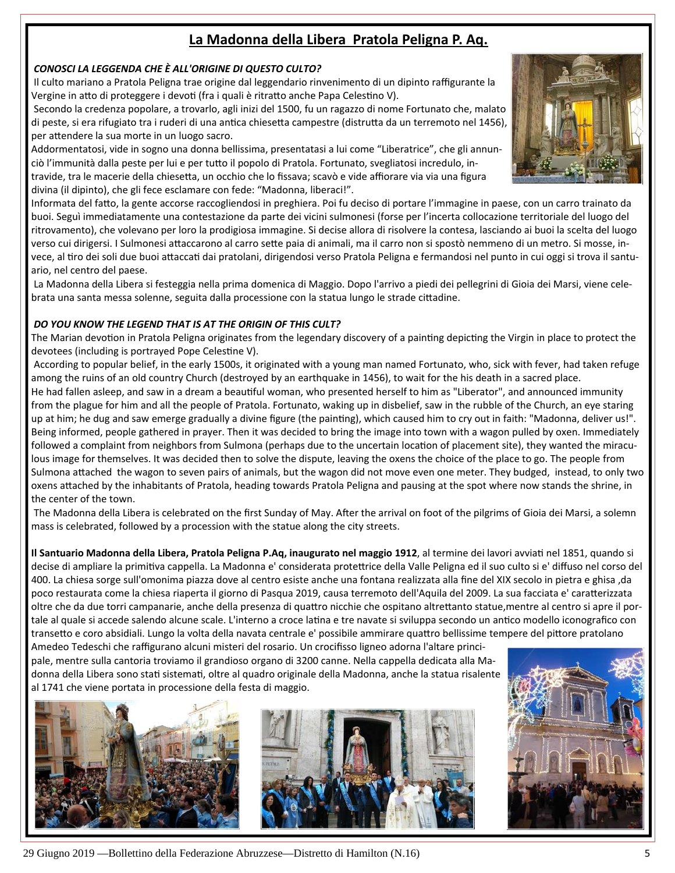# **La Madonna della Libera Pratola Peligna P. Aq.**

#### *CONOSCI LA LEGGENDA CHE È ALL'ORIGINE DI QUESTO CULTO?*

Il culto mariano a Pratola Peligna trae origine dal leggendario rinvenimento di un dipinto raffigurante la Vergine in atto di proteggere i devoti (fra i quali è ritratto anche Papa Celestino V).

Secondo la credenza popolare, a trovarlo, agli inizi del 1500, fu un ragazzo di nome Fortunato che, malato di peste, si era rifugiato tra i ruderi di una antica chiesetta campestre (distrutta da un terremoto nel 1456), per attendere la sua morte in un luogo sacro.

Addormentatosi, vide in sogno una donna bellissima, presentatasi a lui come "Liberatrice", che gli annun‐ ciò l'immunità dalla peste per lui e per tutto il popolo di Pratola. Fortunato, svegliatosi incredulo, intravide, tra le macerie della chiesetta, un occhio che lo fissava; scavò e vide affiorare via via una figura divina (il dipinto), che gli fece esclamare con fede: "Madonna, liberaci!".

Informata del faƩo, la gente accorse raccogliendosi in preghiera. Poi fu deciso di portare l'immagine in paese, con un carro trainato da buoi. Seguì immediatamente una contestazione da parte dei vicini sulmonesi (forse per l'incerta collocazione territoriale del luogo del ritrovamento), che volevano per loro la prodigiosa immagine. Si decise allora di risolvere la contesa, lasciando ai buoi la scelta del luogo verso cui dirigersi. I Sulmonesi attaccarono al carro sette paia di animali, ma il carro non si spostò nemmeno di un metro. Si mosse, invece, al tiro dei soli due buoi attaccati dai pratolani, dirigendosi verso Pratola Peligna e fermandosi nel punto in cui oggi si trova il santuario, nel centro del paese.

La Madonna della Libera si festeggia nella prima domenica di Maggio. Dopo l'arrivo a piedi dei pellegrini di Gioia dei Marsi, viene cele‐ brata una santa messa solenne, seguita dalla processione con la statua lungo le strade cittadine.

#### *DO YOU KNOW THE LEGEND THAT IS AT THE ORIGIN OF THIS CULT?*

The Marian devotion in Pratola Peligna originates from the legendary discovery of a painting depicting the Virgin in place to protect the devotees (including is portrayed Pope Celestine V).

According to popular belief, in the early 1500s, it originated with a young man named Fortunato, who, sick with fever, had taken refuge among the ruins of an old country Church (destroyed by an earthquake in 1456), to wait for the his death in a sacred place. He had fallen asleep, and saw in a dream a beautiful woman, who presented herself to him as "Liberator", and announced immunity from the plague for him and all the people of Pratola. Fortunato, waking up in disbelief, saw in the rubble of the Church, an eye staring up at him; he dug and saw emerge gradually a divine figure (the painting), which caused him to cry out in faith: "Madonna, deliver us!". Being informed, people gathered in prayer. Then it was decided to bring the image into town with a wagon pulled by oxen. Immediately followed a complaint from neighbors from Sulmona (perhaps due to the uncertain location of placement site), they wanted the miraculous image for themselves. It was decided then to solve the dispute, leaving the oxens the choice of the place to go. The people from Sulmona attached the wagon to seven pairs of animals, but the wagon did not move even one meter. They budged, instead, to only two oxens attached by the inhabitants of Pratola, heading towards Pratola Peligna and pausing at the spot where now stands the shrine, in the center of the town.

The Madonna della Libera is celebrated on the first Sunday of May. After the arrival on foot of the pilgrims of Gioia dei Marsi, a solemn mass is celebrated, followed by a procession with the statue along the city streets.

**Il Santuario Madonna della Libera, Pratola Peligna P.Aq, inaugurato nel maggio 1912**, al termine dei lavori avviaƟ nel 1851, quando si decise di ampliare la primitiva cappella. La Madonna e' considerata protettrice della Valle Peligna ed il suo culto si e' diffuso nel corso del 400. La chiesa sorge sull'omonima piazza dove al centro esiste anche una fontana realizzata alla fine del XIX secolo in pietra e ghisa ,da poco restaurata come la chiesa riaperta il giorno di Pasqua 2019, causa terremoto dell'Aquila del 2009. La sua facciata e' caratterizzata oltre che da due torri campanarie, anche della presenza di quattro nicchie che ospitano altrettanto statue,mentre al centro si apre il portale al quale si accede salendo alcune scale. L'interno a croce latina e tre navate si sviluppa secondo un antico modello iconografico con transetto e coro absidiali. Lungo la volta della navata centrale e' possibile ammirare quattro bellissime tempere del pittore pratolano Amedeo Tedeschi che raffigurano alcuni misteri del rosario. Un crocifisso ligneo adorna l'altare princi‐

pale, mentre sulla cantoria troviamo il grandioso organo di 3200 canne. Nella cappella dedicata alla Ma‐ donna della Libera sono stati sistemati, oltre al quadro originale della Madonna, anche la statua risalente al 1741 che viene portata in processione della festa di maggio.





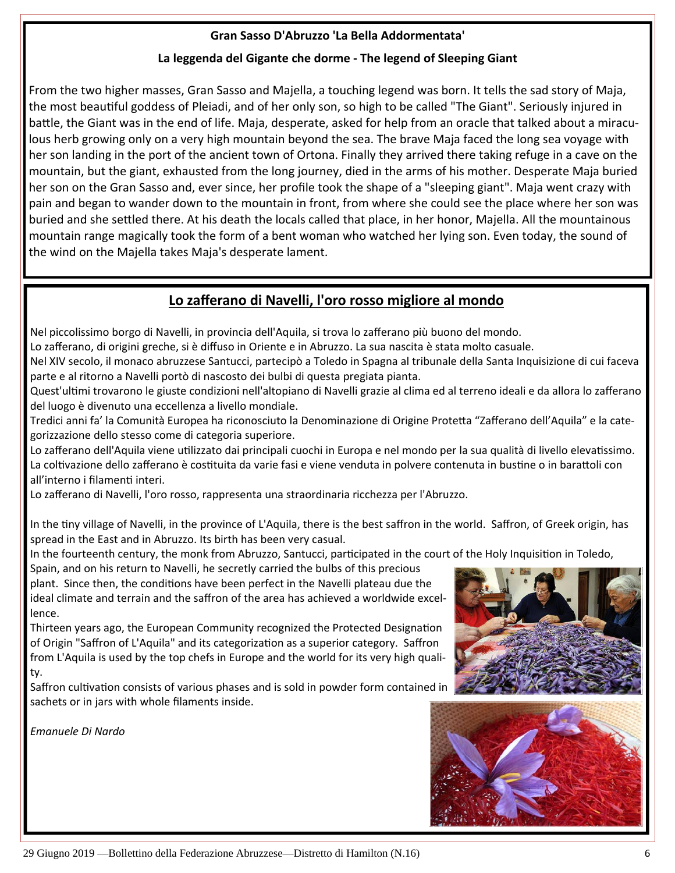### **Gran Sasso D'Abruzzo 'La Bella Addormentata'**

### **La leggenda del Gigante che dorme ‐ The legend of Sleeping Giant**

From the two higher masses, Gran Sasso and Majella, a touching legend was born. It tells the sad story of Maja, the most beautiful goddess of Pleiadi, and of her only son, so high to be called "The Giant". Seriously injured in battle, the Giant was in the end of life. Maja, desperate, asked for help from an oracle that talked about a miraculous herb growing only on a very high mountain beyond the sea. The brave Maja faced the long sea voyage with her son landing in the port of the ancient town of Ortona. Finally they arrived there taking refuge in a cave on the mountain, but the giant, exhausted from the long journey, died in the arms of his mother. Desperate Maja buried her son on the Gran Sasso and, ever since, her profile took the shape of a "sleeping giant". Maja went crazy with pain and began to wander down to the mountain in front, from where she could see the place where her son was buried and she settled there. At his death the locals called that place, in her honor, Majella. All the mountainous mountain range magically took the form of a bent woman who watched her lying son. Even today, the sound of the wind on the Majella takes Maja's desperate lament.

# **Lo zafferano di Navelli, l'oro rosso migliore al mondo**

Nel piccolissimo borgo di Navelli, in provincia dell'Aquila, si trova lo zafferano più buono del mondo.

Lo zafferano, di origini greche, si è diffuso in Oriente e in Abruzzo. La sua nascita è stata molto casuale.

Nel XIV secolo, il monaco abruzzese Santucci, partecipò a Toledo in Spagna al tribunale della Santa Inquisizione di cui faceva parte e al ritorno a Navelli portò di nascosto dei bulbi di questa pregiata pianta.

Quest'ultimi trovarono le giuste condizioni nell'altopiano di Navelli grazie al clima ed al terreno ideali e da allora lo zafferano del luogo è divenuto una eccellenza a livello mondiale.

Tredici anni fa' la Comunità Europea ha riconosciuto la Denominazione di Origine Protetta "Zafferano dell'Aquila" e la categorizzazione dello stesso come di categoria superiore.

Lo zafferano dell'Aquila viene utilizzato dai principali cuochi in Europa e nel mondo per la sua qualità di livello elevatissimo. La coltivazione dello zafferano è costituita da varie fasi e viene venduta in polvere contenuta in bustine o in barattoli con all'interno i filamenti interi.

Lo zafferano di Navelli, l'oro rosso, rappresenta una straordinaria ricchezza per l'Abruzzo.

In the tiny village of Navelli, in the province of L'Aquila, there is the best saffron in the world. Saffron, of Greek origin, has spread in the East and in Abruzzo. Its birth has been very casual.

In the fourteenth century, the monk from Abruzzo, Santucci, participated in the court of the Holy Inquisition in Toledo,

Spain, and on his return to Navelli, he secretly carried the bulbs of this precious plant. Since then, the conditions have been perfect in the Navelli plateau due the ideal climate and terrain and the saffron of the area has achieved a worldwide excel‐ lence.

Thirteen years ago, the European Community recognized the Protected Designation of Origin "Saffron of L'Aquila" and its categorization as a superior category. Saffron from L'Aquila is used by the top chefs in Europe and the world for its very high quali‐ ty.

Saffron cultivation consists of various phases and is sold in powder form contained in sachets or in jars with whole filaments inside.

*Emanuele Di Nardo*



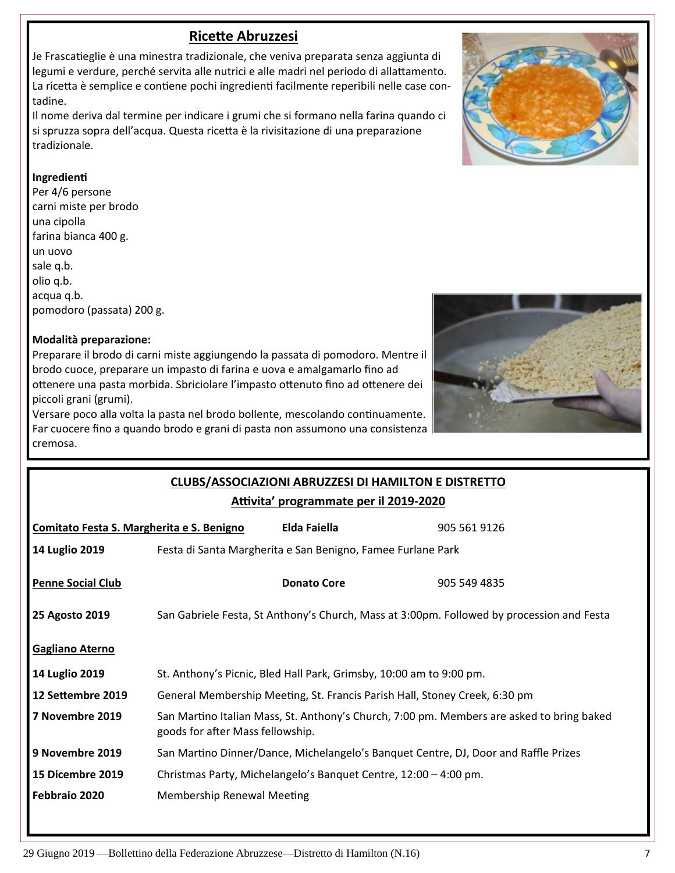# **RiceƩe Abruzzesi**

Je Frascatieglie è una minestra tradizionale, che veniva preparata senza aggiunta di legumi e verdure, perché servita alle nutrici e alle madri nel periodo di allattamento. La ricetta è semplice e contiene pochi ingredienti facilmente reperibili nelle case contadine.

Il nome deriva dal termine per indicare i grumi che si formano nella farina quando ci si spruzza sopra dell'acqua. Questa ricetta è la rivisitazione di una preparazione tradizionale.

#### **IngredienƟ**

Per 4/6 persone carni miste per brodo una cipolla farina bianca 400 g. un uovo sale q.b. olio q.b. acqua q.b. pomodoro (passata) 200 g.

#### **Modalità preparazione:**

Preparare il brodo di carni miste aggiungendo la passata di pomodoro. Mentre il brodo cuoce, preparare un impasto di farina e uova e amalgamarlo fino ad ottenere una pasta morbida. Sbriciolare l'impasto ottenuto fino ad ottenere dei piccoli grani (grumi).

Versare poco alla volta la pasta nel brodo bollente, mescolando continuamente. Far cuocere fino a quando brodo e grani di pasta non assumono una consistenza cremosa.



**CLUBS/ASSOCIAZIONI ABRUZZESI DI HAMILTON E DISTRETTO**